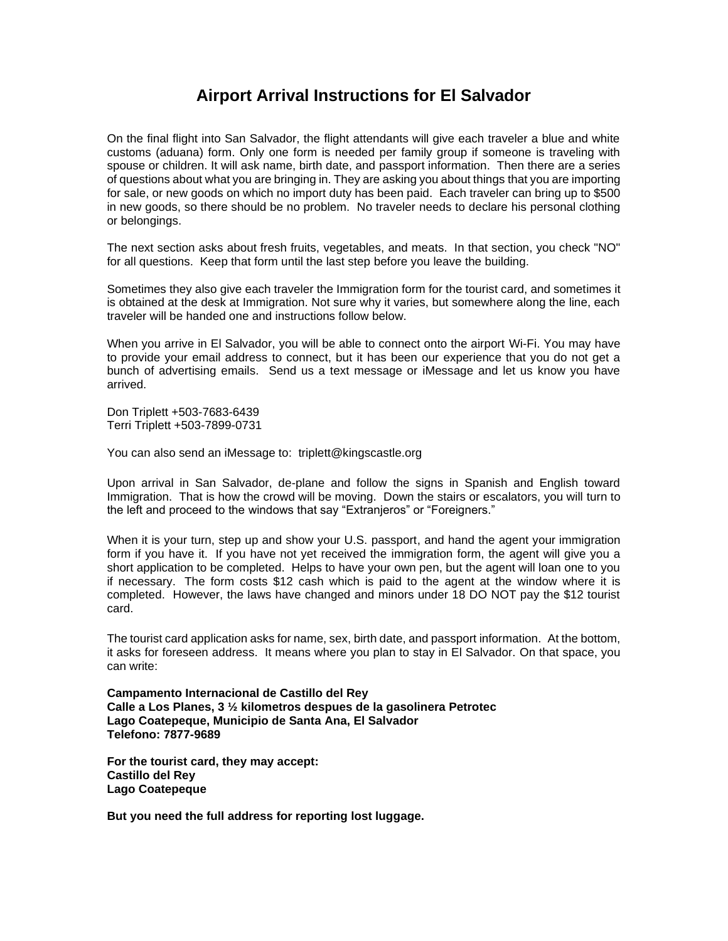## **Airport Arrival Instructions for El Salvador**

On the final flight into San Salvador, the flight attendants will give each traveler a blue and white customs (aduana) form. Only one form is needed per family group if someone is traveling with spouse or children. It will ask name, birth date, and passport information. Then there are a series of questions about what you are bringing in. They are asking you about things that you are importing for sale, or new goods on which no import duty has been paid. Each traveler can bring up to \$500 in new goods, so there should be no problem. No traveler needs to declare his personal clothing or belongings.

The next section asks about fresh fruits, vegetables, and meats. In that section, you check "NO" for all questions. Keep that form until the last step before you leave the building.

Sometimes they also give each traveler the Immigration form for the tourist card, and sometimes it is obtained at the desk at Immigration. Not sure why it varies, but somewhere along the line, each traveler will be handed one and instructions follow below.

When you arrive in El Salvador, you will be able to connect onto the airport Wi-Fi. You may have to provide your email address to connect, but it has been our experience that you do not get a bunch of advertising emails. Send us a text message or iMessage and let us know you have arrived.

Don Triplett +503-7683-6439 Terri Triplett +503-7899-0731

You can also send an iMessage to: triplett@kingscastle.org

Upon arrival in San Salvador, de-plane and follow the signs in Spanish and English toward Immigration. That is how the crowd will be moving. Down the stairs or escalators, you will turn to the left and proceed to the windows that say "Extranjeros" or "Foreigners."

When it is your turn, step up and show your U.S. passport, and hand the agent your immigration form if you have it. If you have not yet received the immigration form, the agent will give you a short application to be completed. Helps to have your own pen, but the agent will loan one to you if necessary. The form costs \$12 cash which is paid to the agent at the window where it is completed. However, the laws have changed and minors under 18 DO NOT pay the \$12 tourist card.

The tourist card application asks for name, sex, birth date, and passport information. At the bottom, it asks for foreseen address. It means where you plan to stay in El Salvador. On that space, you can write:

**Campamento Internacional de Castillo del Rey Calle a Los Planes, 3 ½ kilometros despues de la gasolinera Petrotec Lago Coatepeque, Municipio de Santa Ana, El Salvador Telefono: 7877-9689**

**For the tourist card, they may accept: Castillo del Rey Lago Coatepeque**

**But you need the full address for reporting lost luggage.**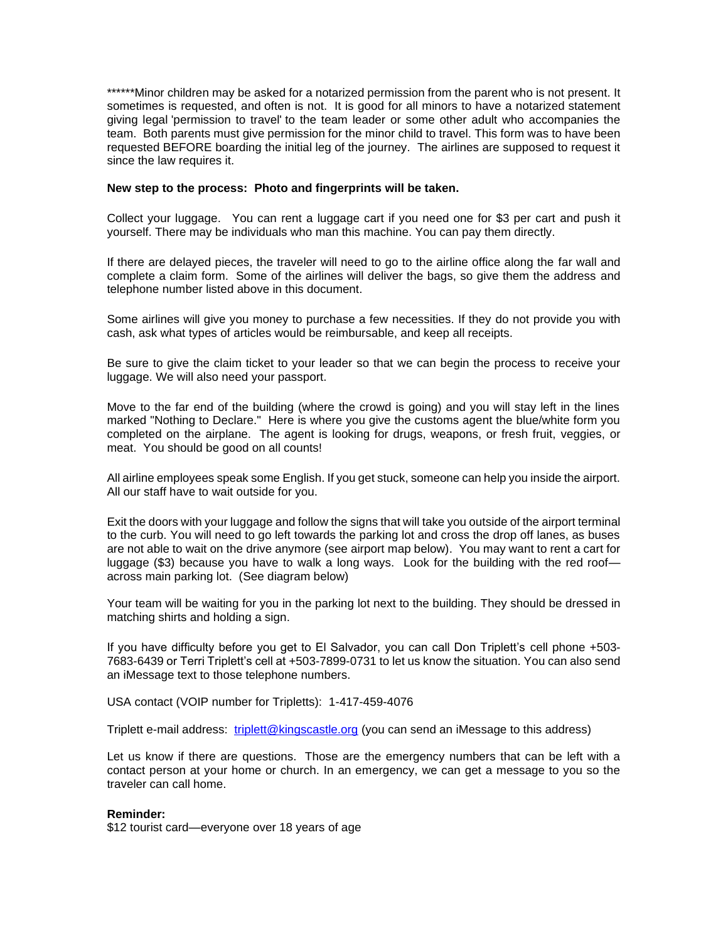\*\*\*\*\*\*Minor children may be asked for a notarized permission from the parent who is not present. It sometimes is requested, and often is not. It is good for all minors to have a notarized statement giving legal 'permission to travel' to the team leader or some other adult who accompanies the team. Both parents must give permission for the minor child to travel. This form was to have been requested BEFORE boarding the initial leg of the journey. The airlines are supposed to request it since the law requires it.

## **New step to the process: Photo and fingerprints will be taken.**

Collect your luggage. You can rent a luggage cart if you need one for \$3 per cart and push it yourself. There may be individuals who man this machine. You can pay them directly.

If there are delayed pieces, the traveler will need to go to the airline office along the far wall and complete a claim form. Some of the airlines will deliver the bags, so give them the address and telephone number listed above in this document.

Some airlines will give you money to purchase a few necessities. If they do not provide you with cash, ask what types of articles would be reimbursable, and keep all receipts.

Be sure to give the claim ticket to your leader so that we can begin the process to receive your luggage. We will also need your passport.

Move to the far end of the building (where the crowd is going) and you will stay left in the lines marked "Nothing to Declare." Here is where you give the customs agent the blue/white form you completed on the airplane. The agent is looking for drugs, weapons, or fresh fruit, veggies, or meat. You should be good on all counts!

All airline employees speak some English. If you get stuck, someone can help you inside the airport. All our staff have to wait outside for you.

Exit the doors with your luggage and follow the signs that will take you outside of the airport terminal to the curb. You will need to go left towards the parking lot and cross the drop off lanes, as buses are not able to wait on the drive anymore (see airport map below). You may want to rent a cart for luggage (\$3) because you have to walk a long ways. Look for the building with the red roof across main parking lot. (See diagram below)

Your team will be waiting for you in the parking lot next to the building. They should be dressed in matching shirts and holding a sign.

If you have difficulty before you get to El Salvador, you can call Don Triplett's cell phone +503- 7683-6439 or Terri Triplett's cell at +503-7899-0731 to let us know the situation. You can also send an iMessage text to those telephone numbers.

USA contact (VOIP number for Tripletts): 1-417-459-4076

Triplett e-mail address: [triplett@kingscastle.org](mailto:triplett@kingscastle.org) (you can send an iMessage to this address)

Let us know if there are questions. Those are the emergency numbers that can be left with a contact person at your home or church. In an emergency, we can get a message to you so the traveler can call home.

## **Reminder:**

\$12 tourist card—everyone over 18 years of age